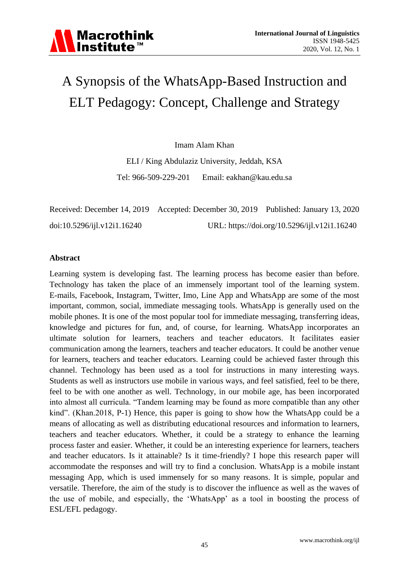### A Synopsis of the WhatsApp-Based Instruction and ELT Pedagogy: Concept, Challenge and Strategy

Imam Alam Khan

ELI / King Abdulaziz University, Jeddah, KSA Tel: 966-509-229-201 Email: [eakhan@kau.edu.sa](mailto:eakhan@kau.edu.sa)

|                             | Received: December 14, 2019 Accepted: December 30, 2019 Published: January 13, 2020 |                                              |
|-----------------------------|-------------------------------------------------------------------------------------|----------------------------------------------|
| doi:10.5296/ijl.v12i1.16240 |                                                                                     | URL: https://doi.org/10.5296/ijl.v12i1.16240 |

#### **Abstract**

Learning system is developing fast. The learning process has become easier than before. Technology has taken the place of an immensely important tool of the learning system. E-mails, Facebook, Instagram, Twitter, Imo, Line App and WhatsApp are some of the most important, common, social, immediate messaging tools. WhatsApp is generally used on the mobile phones. It is one of the most popular tool for immediate messaging, transferring ideas, knowledge and pictures for fun, and, of course, for learning. WhatsApp incorporates an ultimate solution for learners, teachers and teacher educators. It facilitates easier communication among the learners, teachers and teacher educators. It could be another venue for learners, teachers and teacher educators. Learning could be achieved faster through this channel. Technology has been used as a tool for instructions in many interesting ways. Students as well as instructors use mobile in various ways, and feel satisfied, feel to be there, feel to be with one another as well. Technology, in our mobile age, has been incorporated into almost all curricula. "Tandem learning may be found as more compatible than any other kind". (Khan.2018, P-1) Hence, this paper is going to show how the WhatsApp could be a means of allocating as well as distributing educational resources and information to learners, teachers and teacher educators. Whether, it could be a strategy to enhance the learning process faster and easier. Whether, it could be an interesting experience for learners, teachers and teacher educators. Is it attainable? Is it time-friendly? I hope this research paper will accommodate the responses and will try to find a conclusion. WhatsApp is a mobile instant messaging App, which is used immensely for so many reasons. It is simple, popular and versatile. Therefore, the aim of the study is to discover the influence as well as the waves of the use of mobile, and especially, the "WhatsApp" as a tool in boosting the process of ESL/EFL pedagogy.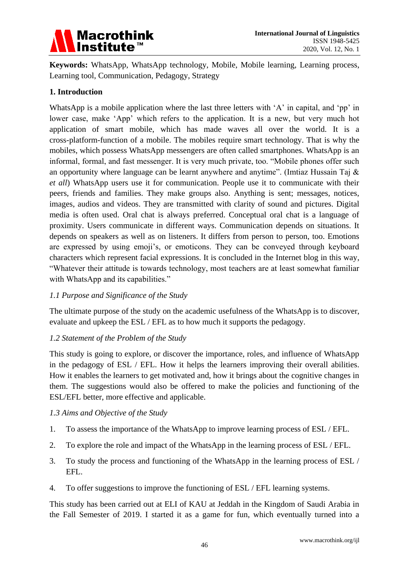

**Keywords:** WhatsApp, WhatsApp technology, Mobile, Mobile learning, Learning process, Learning tool, Communication, Pedagogy, Strategy

#### **1. Introduction**

WhatsApp is a mobile application where the last three letters with 'A' in capital, and 'pp' in lower case, make 'App' which refers to the application. It is a new, but very much hot application of smart mobile, which has made waves all over the world. It is a cross-platform-function of a mobile. The mobiles require smart technology. That is why the mobiles, which possess WhatsApp messengers are often called smartphones. WhatsApp is an informal, formal, and fast messenger. It is very much private, too. "Mobile phones offer such an opportunity where language can be learnt anywhere and anytime". (Imtiaz Hussain Taj & *et all*) WhatsApp users use it for communication. People use it to communicate with their peers, friends and families. They make groups also. Anything is sent; messages, notices, images, audios and videos. They are transmitted with clarity of sound and pictures. Digital media is often used. Oral chat is always preferred. Conceptual oral chat is a language of proximity. Users communicate in different ways. Communication depends on situations. It depends on speakers as well as on listeners. It differs from person to person, too. Emotions are expressed by using emoji"s, or emoticons. They can be conveyed through keyboard characters which represent facial expressions. It is concluded in the Internet blog in this way, "Whatever their attitude is towards technology, most teachers are at least somewhat familiar with WhatsApp and its capabilities."

#### *1.1 Purpose and Significance of the Study*

The ultimate purpose of the study on the academic usefulness of the WhatsApp is to discover, evaluate and upkeep the ESL / EFL as to how much it supports the pedagogy.

#### *1.2 Statement of the Problem of the Study*

This study is going to explore, or discover the importance, roles, and influence of WhatsApp in the pedagogy of ESL / EFL. How it helps the learners improving their overall abilities. How it enables the learners to get motivated and, how it brings about the cognitive changes in them. The suggestions would also be offered to make the policies and functioning of the ESL/EFL better, more effective and applicable.

#### *1.3 Aims and Objective of the Study*

- 1. To assess the importance of the WhatsApp to improve learning process of ESL / EFL.
- 2. To explore the role and impact of the WhatsApp in the learning process of ESL / EFL.
- 3. To study the process and functioning of the WhatsApp in the learning process of ESL / EFL.
- 4. To offer suggestions to improve the functioning of ESL / EFL learning systems.

This study has been carried out at ELI of KAU at Jeddah in the Kingdom of Saudi Arabia in the Fall Semester of 2019. I started it as a game for fun, which eventually turned into a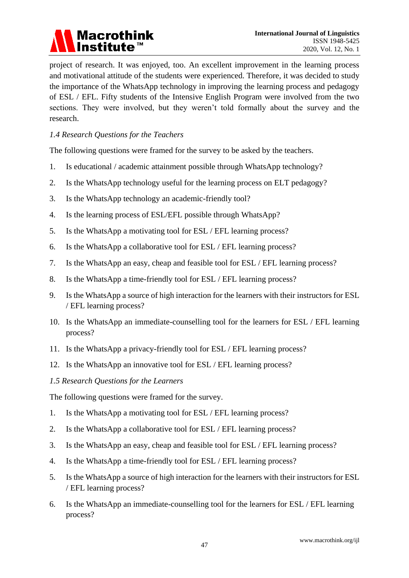

project of research. It was enjoyed, too. An excellent improvement in the learning process and motivational attitude of the students were experienced. Therefore, it was decided to study the importance of the WhatsApp technology in improving the learning process and pedagogy of ESL / EFL. Fifty students of the Intensive English Program were involved from the two sections. They were involved, but they weren"t told formally about the survey and the research.

#### *1.4 Research Questions for the Teachers*

The following questions were framed for the survey to be asked by the teachers.

- 1. Is educational / academic attainment possible through WhatsApp technology?
- 2. Is the WhatsApp technology useful for the learning process on ELT pedagogy?
- 3. Is the WhatsApp technology an academic-friendly tool?
- 4. Is the learning process of ESL/EFL possible through WhatsApp?
- 5. Is the WhatsApp a motivating tool for ESL / EFL learning process?
- 6. Is the WhatsApp a collaborative tool for ESL / EFL learning process?
- 7. Is the WhatsApp an easy, cheap and feasible tool for ESL / EFL learning process?
- 8. Is the WhatsApp a time-friendly tool for ESL / EFL learning process?
- 9. Is the WhatsApp a source of high interaction for the learners with their instructors for ESL / EFL learning process?
- 10. Is the WhatsApp an immediate-counselling tool for the learners for ESL / EFL learning process?
- 11. Is the WhatsApp a privacy-friendly tool for ESL / EFL learning process?
- 12. Is the WhatsApp an innovative tool for ESL / EFL learning process?
- *1.5 Research Questions for the Learners*

The following questions were framed for the survey.

- 1. Is the WhatsApp a motivating tool for ESL / EFL learning process?
- 2. Is the WhatsApp a collaborative tool for ESL / EFL learning process?
- 3. Is the WhatsApp an easy, cheap and feasible tool for ESL / EFL learning process?
- 4. Is the WhatsApp a time-friendly tool for ESL / EFL learning process?
- 5. Is the WhatsApp a source of high interaction for the learners with their instructors for ESL / EFL learning process?
- 6. Is the WhatsApp an immediate-counselling tool for the learners for ESL / EFL learning process?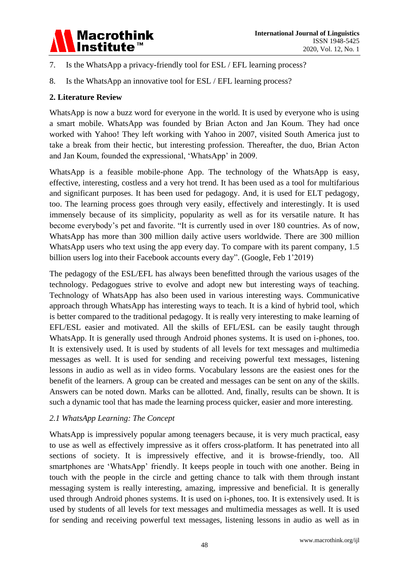

- 7. Is the WhatsApp a privacy-friendly tool for ESL / EFL learning process?
- 8. Is the WhatsApp an innovative tool for ESL / EFL learning process?

#### **2. Literature Review**

WhatsApp is now a buzz word for everyone in the world. It is used by everyone who is using a smart mobile. WhatsApp was founded by Brian Acton and Jan Koum. They had once worked with Yahoo! They left working with Yahoo in 2007, visited South America just to take a break from their hectic, but interesting profession. Thereafter, the duo, Brian Acton and Jan Koum, founded the expressional, "WhatsApp" in 2009.

WhatsApp is a feasible mobile-phone App. The technology of the WhatsApp is easy, effective, interesting, costless and a very hot trend. It has been used as a tool for multifarious and significant purposes. It has been used for pedagogy. And, it is used for ELT pedagogy, too. The learning process goes through very easily, effectively and interestingly. It is used immensely because of its simplicity, popularity as well as for its versatile nature. It has become everybody"s pet and favorite. "It is currently used in over 180 countries. As of now, WhatsApp has more than 300 million daily active users worldwide. There are 300 million WhatsApp users who text using the app every day. To compare with its parent company, 1.5 billion users log into their Facebook accounts every day". (Google, Feb 1"2019)

The pedagogy of the ESL/EFL has always been benefitted through the various usages of the technology. Pedagogues strive to evolve and adopt new but interesting ways of teaching. Technology of WhatsApp has also been used in various interesting ways. Communicative approach through WhatsApp has interesting ways to teach. It is a kind of hybrid tool, which is better compared to the traditional pedagogy. It is really very interesting to make learning of EFL/ESL easier and motivated. All the skills of EFL/ESL can be easily taught through WhatsApp. It is generally used through Android phones systems. It is used on i-phones, too. It is extensively used. It is used by students of all levels for text messages and multimedia messages as well. It is used for sending and receiving powerful text messages, listening lessons in audio as well as in video forms. Vocabulary lessons are the easiest ones for the benefit of the learners. A group can be created and messages can be sent on any of the skills. Answers can be noted down. Marks can be allotted. And, finally, results can be shown. It is such a dynamic tool that has made the learning process quicker, easier and more interesting.

#### *2.1 WhatsApp Learning: The Concept*

WhatsApp is impressively popular among teenagers because, it is very much practical, easy to use as well as effectively impressive as it offers cross-platform. It has penetrated into all sections of society. It is impressively effective, and it is browse-friendly, too. All smartphones are 'WhatsApp' friendly. It keeps people in touch with one another. Being in touch with the people in the circle and getting chance to talk with them through instant messaging system is really interesting, amazing, impressive and beneficial. It is generally used through Android phones systems. It is used on i-phones, too. It is extensively used. It is used by students of all levels for text messages and multimedia messages as well. It is used for sending and receiving powerful text messages, listening lessons in audio as well as in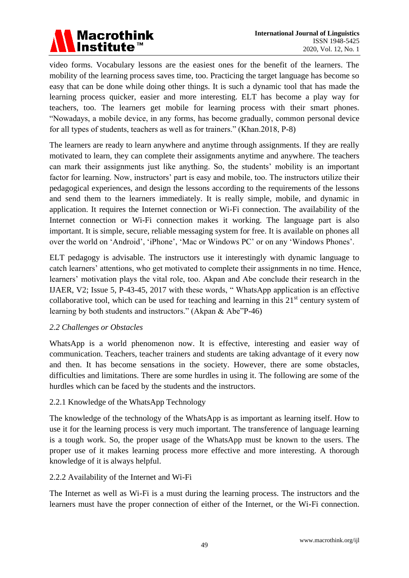### **Macrothink** Institute<sup>™</sup>

video forms. Vocabulary lessons are the easiest ones for the benefit of the learners. The mobility of the learning process saves time, too. Practicing the target language has become so easy that can be done while doing other things. It is such a dynamic tool that has made the learning process quicker, easier and more interesting. ELT has become a play way for teachers, too. The learners get mobile for learning process with their smart phones. "Nowadays, a mobile device, in any forms, has become gradually, common personal device for all types of students, teachers as well as for trainers." (Khan.2018, P-8)

The learners are ready to learn anywhere and anytime through assignments. If they are really motivated to learn, they can complete their assignments anytime and anywhere. The teachers can mark their assignments just like anything. So, the students" mobility is an important factor for learning. Now, instructors' part is easy and mobile, too. The instructors utilize their pedagogical experiences, and design the lessons according to the requirements of the lessons and send them to the learners immediately. It is really simple, mobile, and dynamic in application. It requires the Internet connection or Wi-Fi connection. The availability of the Internet connection or Wi-Fi connection makes it working. The language part is also important. It is simple, secure, reliable messaging system for free. It is available on phones all over the world on 'Android', 'iPhone', 'Mac or Windows PC' or on any 'Windows Phones'.

ELT pedagogy is advisable. The instructors use it interestingly with dynamic language to catch learners' attentions, who get motivated to complete their assignments in no time. Hence, learners" motivation plays the vital role, too. Akpan and Abe conclude their research in the IJAER, V2; Issue 5, P-43-45, 2017 with these words, " WhatsApp application is an effective collaborative tool, which can be used for teaching and learning in this  $21<sup>st</sup>$  century system of learning by both students and instructors." (Akpan & Abe"P-46)

#### *2.2 Challenges or Obstacles*

WhatsApp is a world phenomenon now. It is effective, interesting and easier way of communication. Teachers, teacher trainers and students are taking advantage of it every now and then. It has become sensations in the society. However, there are some obstacles, difficulties and limitations. There are some hurdles in using it. The following are some of the hurdles which can be faced by the students and the instructors.

#### 2.2.1 Knowledge of the WhatsApp Technology

The knowledge of the technology of the WhatsApp is as important as learning itself. How to use it for the learning process is very much important. The transference of language learning is a tough work. So, the proper usage of the WhatsApp must be known to the users. The proper use of it makes learning process more effective and more interesting. A thorough knowledge of it is always helpful.

#### 2.2.2 Availability of the Internet and Wi-Fi

The Internet as well as Wi-Fi is a must during the learning process. The instructors and the learners must have the proper connection of either of the Internet, or the Wi-Fi connection.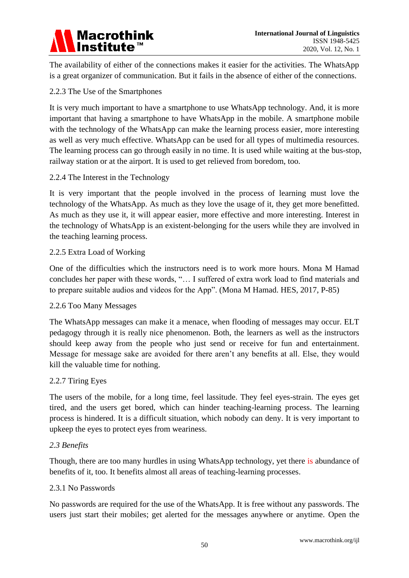

The availability of either of the connections makes it easier for the activities. The WhatsApp is a great organizer of communication. But it fails in the absence of either of the connections.

#### 2.2.3 The Use of the Smartphones

It is very much important to have a smartphone to use WhatsApp technology. And, it is more important that having a smartphone to have WhatsApp in the mobile. A smartphone mobile with the technology of the WhatsApp can make the learning process easier, more interesting as well as very much effective. WhatsApp can be used for all types of multimedia resources. The learning process can go through easily in no time. It is used while waiting at the bus-stop, railway station or at the airport. It is used to get relieved from boredom, too.

#### 2.2.4 The Interest in the Technology

It is very important that the people involved in the process of learning must love the technology of the WhatsApp. As much as they love the usage of it, they get more benefitted. As much as they use it, it will appear easier, more effective and more interesting. Interest in the technology of WhatsApp is an existent-belonging for the users while they are involved in the teaching learning process.

#### 2.2.5 Extra Load of Working

One of the difficulties which the instructors need is to work more hours. Mona M Hamad concludes her paper with these words, "… I suffered of extra work load to find materials and to prepare suitable audios and videos for the App". (Mona M Hamad. HES, 2017, P-85)

#### 2.2.6 Too Many Messages

The WhatsApp messages can make it a menace, when flooding of messages may occur. ELT pedagogy through it is really nice phenomenon. Both, the learners as well as the instructors should keep away from the people who just send or receive for fun and entertainment. Message for message sake are avoided for there aren"t any benefits at all. Else, they would kill the valuable time for nothing.

#### 2.2.7 Tiring Eyes

The users of the mobile, for a long time, feel lassitude. They feel eyes-strain. The eyes get tired, and the users get bored, which can hinder teaching-learning process. The learning process is hindered. It is a difficult situation, which nobody can deny. It is very important to upkeep the eyes to protect eyes from weariness.

#### *2.3 Benefits*

Though, there are too many hurdles in using WhatsApp technology, yet there is abundance of benefits of it, too. It benefits almost all areas of teaching-learning processes.

#### 2.3.1 No Passwords

No passwords are required for the use of the WhatsApp. It is free without any passwords. The users just start their mobiles; get alerted for the messages anywhere or anytime. Open the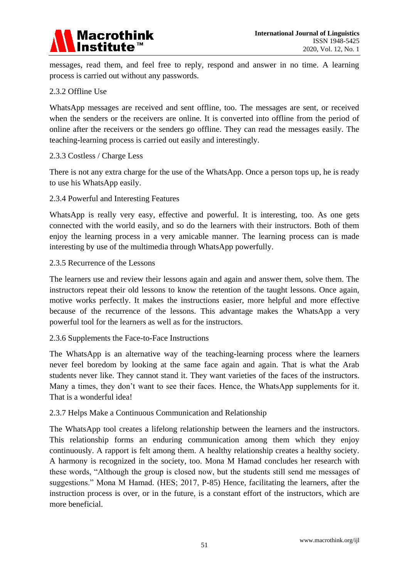

messages, read them, and feel free to reply, respond and answer in no time. A learning process is carried out without any passwords.

#### 2.3.2 Offline Use

WhatsApp messages are received and sent offline, too. The messages are sent, or received when the senders or the receivers are online. It is converted into offline from the period of online after the receivers or the senders go offline. They can read the messages easily. The teaching-learning process is carried out easily and interestingly.

#### 2.3.3 Costless / Charge Less

There is not any extra charge for the use of the WhatsApp. Once a person tops up, he is ready to use his WhatsApp easily.

#### 2.3.4 Powerful and Interesting Features

WhatsApp is really very easy, effective and powerful. It is interesting, too. As one gets connected with the world easily, and so do the learners with their instructors. Both of them enjoy the learning process in a very amicable manner. The learning process can is made interesting by use of the multimedia through WhatsApp powerfully.

#### 2.3.5 Recurrence of the Lessons

The learners use and review their lessons again and again and answer them, solve them. The instructors repeat their old lessons to know the retention of the taught lessons. Once again, motive works perfectly. It makes the instructions easier, more helpful and more effective because of the recurrence of the lessons. This advantage makes the WhatsApp a very powerful tool for the learners as well as for the instructors.

#### 2.3.6 Supplements the Face-to-Face Instructions

The WhatsApp is an alternative way of the teaching-learning process where the learners never feel boredom by looking at the same face again and again. That is what the Arab students never like. They cannot stand it. They want varieties of the faces of the instructors. Many a times, they don't want to see their faces. Hence, the WhatsApp supplements for it. That is a wonderful idea!

#### 2.3.7 Helps Make a Continuous Communication and Relationship

The WhatsApp tool creates a lifelong relationship between the learners and the instructors. This relationship forms an enduring communication among them which they enjoy continuously. A rapport is felt among them. A healthy relationship creates a healthy society. A harmony is recognized in the society, too. Mona M Hamad concludes her research with these words, "Although the group is closed now, but the students still send me messages of suggestions." Mona M Hamad. (HES; 2017, P-85) Hence, facilitating the learners, after the instruction process is over, or in the future, is a constant effort of the instructors, which are more beneficial.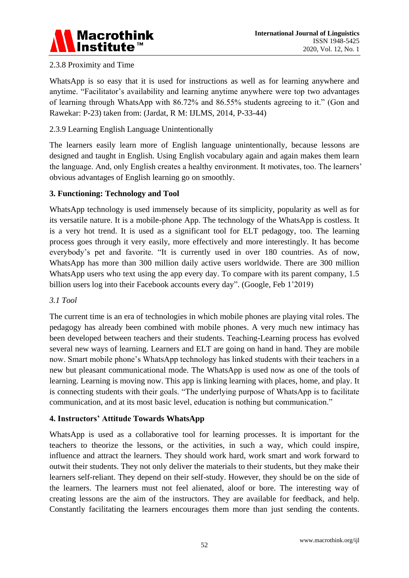

#### 2.3.8 Proximity and Time

WhatsApp is so easy that it is used for instructions as well as for learning anywhere and anytime. "Facilitator's availability and learning anytime anywhere were top two advantages of learning through WhatsApp with 86.72% and 86.55% students agreeing to it." (Gon and Rawekar: P-23) taken from: (Jardat, R M: IJLMS, 2014, P-33-44)

#### 2.3.9 Learning English Language Unintentionally

The learners easily learn more of English language unintentionally, because lessons are designed and taught in English. Using English vocabulary again and again makes them learn the language. And, only English creates a healthy environment. It motivates, too. The learners" obvious advantages of English learning go on smoothly.

#### **3. Functioning: Technology and Tool**

WhatsApp technology is used immensely because of its simplicity, popularity as well as for its versatile nature. It is a mobile-phone App. The technology of the WhatsApp is costless. It is a very hot trend. It is used as a significant tool for ELT pedagogy, too. The learning process goes through it very easily, more effectively and more interestingly. It has become everybody"s pet and favorite. "It is currently used in over 180 countries. As of now, WhatsApp has more than 300 million daily active users worldwide. There are 300 million WhatsApp users who text using the app every day. To compare with its parent company, 1.5 billion users log into their Facebook accounts every day". (Google, Feb 1'2019)

#### *3.1 Tool*

The current time is an era of technologies in which mobile phones are playing vital roles. The pedagogy has already been combined with mobile phones. A very much new intimacy has been developed between teachers and their students. Teaching-Learning process has evolved several new ways of learning. Learners and ELT are going on hand in hand. They are mobile now. Smart mobile phone"s WhatsApp technology has linked students with their teachers in a new but pleasant communicational mode. The WhatsApp is used now as one of the tools of learning. Learning is moving now. This app is linking learning with places, home, and play. It is connecting students with their goals. "The underlying purpose of WhatsApp is to facilitate communication, and at its most basic level, education is nothing but communication."

#### **4. Instructors' Attitude Towards WhatsApp**

WhatsApp is used as a collaborative tool for learning processes. It is important for the teachers to theorize the lessons, or the activities, in such a way, which could inspire, influence and attract the learners. They should work hard, work smart and work forward to outwit their students. They not only deliver the materials to their students, but they make their learners self-reliant. They depend on their self-study. However, they should be on the side of the learners. The learners must not feel alienated, aloof or bore. The interesting way of creating lessons are the aim of the instructors. They are available for feedback, and help. Constantly facilitating the learners encourages them more than just sending the contents.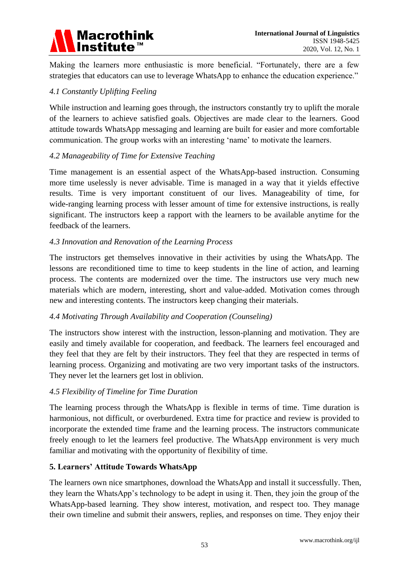# Macrothink<br>Institute™

Making the learners more enthusiastic is more beneficial. "Fortunately, there are a few strategies that educators can use to leverage WhatsApp to enhance the education experience."

#### *4.1 Constantly Uplifting Feeling*

While instruction and learning goes through, the instructors constantly try to uplift the morale of the learners to achieve satisfied goals. Objectives are made clear to the learners. Good attitude towards WhatsApp messaging and learning are built for easier and more comfortable communication. The group works with an interesting "name" to motivate the learners.

#### *4.2 Manageability of Time for Extensive Teaching*

Time management is an essential aspect of the WhatsApp-based instruction. Consuming more time uselessly is never advisable. Time is managed in a way that it yields effective results. Time is very important constituent of our lives. Manageability of time, for wide-ranging learning process with lesser amount of time for extensive instructions, is really significant. The instructors keep a rapport with the learners to be available anytime for the feedback of the learners.

#### *4.3 Innovation and Renovation of the Learning Process*

The instructors get themselves innovative in their activities by using the WhatsApp. The lessons are reconditioned time to time to keep students in the line of action, and learning process. The contents are modernized over the time. The instructors use very much new materials which are modern, interesting, short and value-added. Motivation comes through new and interesting contents. The instructors keep changing their materials.

#### *4.4 Motivating Through Availability and Cooperation (Counseling)*

The instructors show interest with the instruction, lesson-planning and motivation. They are easily and timely available for cooperation, and feedback. The learners feel encouraged and they feel that they are felt by their instructors. They feel that they are respected in terms of learning process. Organizing and motivating are two very important tasks of the instructors. They never let the learners get lost in oblivion.

#### *4.5 Flexibility of Timeline for Time Duration*

The learning process through the WhatsApp is flexible in terms of time. Time duration is harmonious, not difficult, or overburdened. Extra time for practice and review is provided to incorporate the extended time frame and the learning process. The instructors communicate freely enough to let the learners feel productive. The WhatsApp environment is very much familiar and motivating with the opportunity of flexibility of time.

#### **5. Learners' Attitude Towards WhatsApp**

The learners own nice smartphones, download the WhatsApp and install it successfully. Then, they learn the WhatsApp"s technology to be adept in using it. Then, they join the group of the WhatsApp-based learning. They show interest, motivation, and respect too. They manage their own timeline and submit their answers, replies, and responses on time. They enjoy their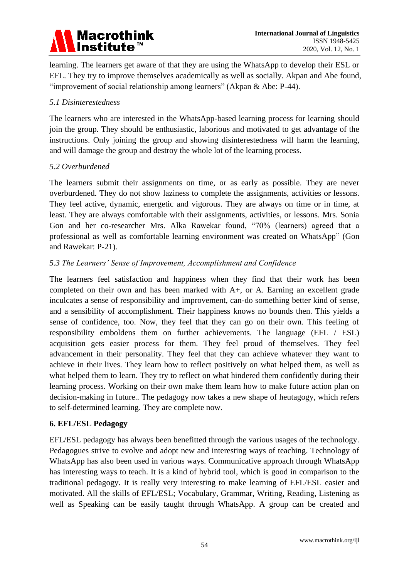## Macrothink<br>Institute™

learning. The learners get aware of that they are using the WhatsApp to develop their ESL or EFL. They try to improve themselves academically as well as socially. Akpan and Abe found, "improvement of social relationship among learners" (Akpan & Abe: P-44).

#### *5.1 Disinterestedness*

The learners who are interested in the WhatsApp-based learning process for learning should join the group. They should be enthusiastic, laborious and motivated to get advantage of the instructions. Only joining the group and showing disinterestedness will harm the learning, and will damage the group and destroy the whole lot of the learning process.

#### *5.2 Overburdened*

The learners submit their assignments on time, or as early as possible. They are never overburdened. They do not show laziness to complete the assignments, activities or lessons. They feel active, dynamic, energetic and vigorous. They are always on time or in time, at least. They are always comfortable with their assignments, activities, or lessons. Mrs. Sonia Gon and her co-researcher Mrs. Alka Rawekar found, "70% (learners) agreed that a professional as well as comfortable learning environment was created on WhatsApp" (Gon and Rawekar: P-21).

#### *5.3 The Learners' Sense of Improvement, Accomplishment and Confidence*

The learners feel satisfaction and happiness when they find that their work has been completed on their own and has been marked with A+, or A. Earning an excellent grade inculcates a sense of responsibility and improvement, can-do something better kind of sense, and a sensibility of accomplishment. Their happiness knows no bounds then. This yields a sense of confidence, too. Now, they feel that they can go on their own. This feeling of responsibility emboldens them on further achievements. The language (EFL / ESL) acquisition gets easier process for them. They feel proud of themselves. They feel advancement in their personality. They feel that they can achieve whatever they want to achieve in their lives. They learn how to reflect positively on what helped them, as well as what helped them to learn. They try to reflect on what hindered them confidently during their learning process. Working on their own make them learn how to make future action plan on decision-making in future.. The pedagogy now takes a new shape of heutagogy, which refers to self-determined learning. They are complete now.

#### **6. EFL/ESL Pedagogy**

EFL/ESL pedagogy has always been benefitted through the various usages of the technology. Pedagogues strive to evolve and adopt new and interesting ways of teaching. Technology of WhatsApp has also been used in various ways. Communicative approach through WhatsApp has interesting ways to teach. It is a kind of hybrid tool, which is good in comparison to the traditional pedagogy. It is really very interesting to make learning of EFL/ESL easier and motivated. All the skills of EFL/ESL; Vocabulary, Grammar, Writing, Reading, Listening as well as Speaking can be easily taught through WhatsApp. A group can be created and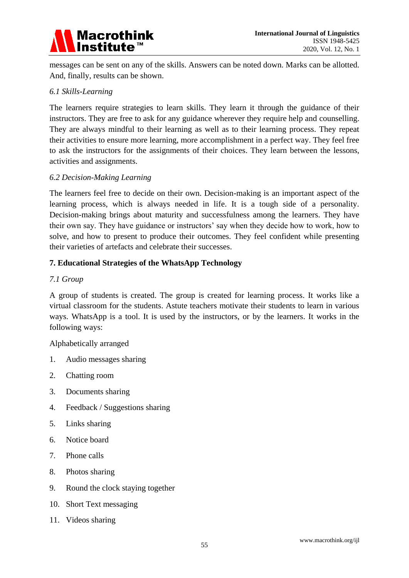

messages can be sent on any of the skills. Answers can be noted down. Marks can be allotted. And, finally, results can be shown.

#### *6.1 Skills-Learning*

The learners require strategies to learn skills. They learn it through the guidance of their instructors. They are free to ask for any guidance wherever they require help and counselling. They are always mindful to their learning as well as to their learning process. They repeat their activities to ensure more learning, more accomplishment in a perfect way. They feel free to ask the instructors for the assignments of their choices. They learn between the lessons, activities and assignments.

#### *6.2 Decision-Making Learning*

The learners feel free to decide on their own. Decision-making is an important aspect of the learning process, which is always needed in life. It is a tough side of a personality. Decision-making brings about maturity and successfulness among the learners. They have their own say. They have guidance or instructors" say when they decide how to work, how to solve, and how to present to produce their outcomes. They feel confident while presenting their varieties of artefacts and celebrate their successes.

#### **7. Educational Strategies of the WhatsApp Technology**

#### *7.1 Group*

A group of students is created. The group is created for learning process. It works like a virtual classroom for the students. Astute teachers motivate their students to learn in various ways. WhatsApp is a tool. It is used by the instructors, or by the learners. It works in the following ways:

Alphabetically arranged

- 1. Audio messages sharing
- 2. Chatting room
- 3. Documents sharing
- 4. Feedback / Suggestions sharing
- 5. Links sharing
- 6. Notice board
- 7. Phone calls
- 8. Photos sharing
- 9. Round the clock staying together
- 10. Short Text messaging
- 11. Videos sharing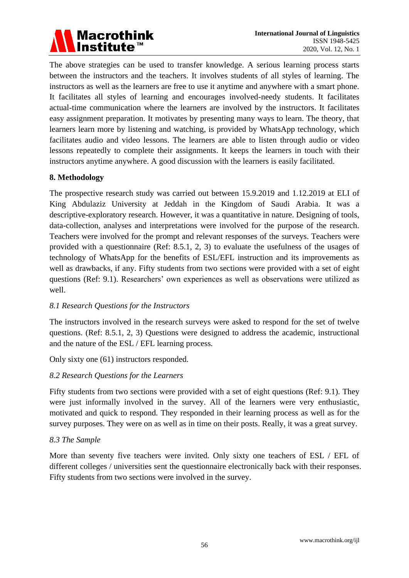

The above strategies can be used to transfer knowledge. A serious learning process starts between the instructors and the teachers. It involves students of all styles of learning. The instructors as well as the learners are free to use it anytime and anywhere with a smart phone. It facilitates all styles of learning and encourages involved-needy students. It facilitates actual-time communication where the learners are involved by the instructors. It facilitates easy assignment preparation. It motivates by presenting many ways to learn. The theory, that learners learn more by listening and watching, is provided by WhatsApp technology, which facilitates audio and video lessons. The learners are able to listen through audio or video lessons repeatedly to complete their assignments. It keeps the learners in touch with their instructors anytime anywhere. A good discussion with the learners is easily facilitated.

#### **8. Methodology**

The prospective research study was carried out between 15.9.2019 and 1.12.2019 at ELI of King Abdulaziz University at Jeddah in the Kingdom of Saudi Arabia. It was a descriptive-exploratory research. However, it was a quantitative in nature. Designing of tools, data-collection, analyses and interpretations were involved for the purpose of the research. Teachers were involved for the prompt and relevant responses of the surveys. Teachers were provided with a questionnaire (Ref: 8.5.1, 2, 3) to evaluate the usefulness of the usages of technology of WhatsApp for the benefits of ESL/EFL instruction and its improvements as well as drawbacks, if any. Fifty students from two sections were provided with a set of eight questions (Ref: 9.1). Researchers" own experiences as well as observations were utilized as well.

#### *8.1 Research Questions for the Instructors*

The instructors involved in the research surveys were asked to respond for the set of twelve questions. (Ref: 8.5.1, 2, 3) Questions were designed to address the academic, instructional and the nature of the ESL / EFL learning process.

Only sixty one (61) instructors responded.

#### *8.2 Research Questions for the Learners*

Fifty students from two sections were provided with a set of eight questions (Ref: 9.1). They were just informally involved in the survey. All of the learners were very enthusiastic, motivated and quick to respond. They responded in their learning process as well as for the survey purposes. They were on as well as in time on their posts. Really, it was a great survey.

#### *8.3 The Sample*

More than seventy five teachers were invited. Only sixty one teachers of ESL / EFL of different colleges / universities sent the questionnaire electronically back with their responses. Fifty students from two sections were involved in the survey.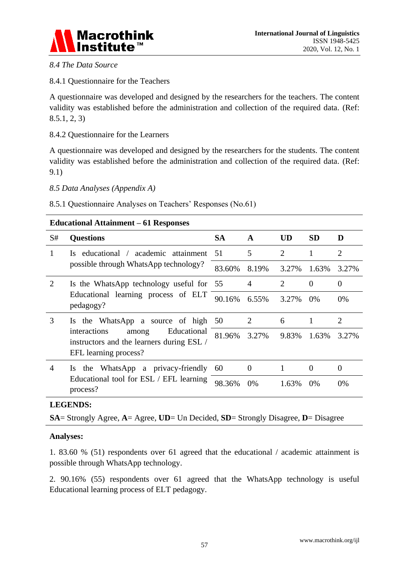

#### *8.4 The Data Source*

#### 8.4.1 Questionnaire for the Teachers

A questionnaire was developed and designed by the researchers for the teachers. The content validity was established before the administration and collection of the required data. (Ref: 8.5.1, 2, 3)

#### 8.4.2 Questionnaire for the Learners

A questionnaire was developed and designed by the researchers for the students. The content validity was established before the administration and collection of the required data. (Ref: 9.1)

#### *8.5 Data Analyses (Appendix A)*

8.5.1 Questionnaire Analyses on Teachers' Responses (No.61)

#### **Educational Attainment – 61 Responses**

| S#                          | <b>Questions</b>                                                                                                                                              | <b>SA</b> | $\mathbf{A}$   | UD                          | <b>SD</b>      | D              |
|-----------------------------|---------------------------------------------------------------------------------------------------------------------------------------------------------------|-----------|----------------|-----------------------------|----------------|----------------|
|                             | educational / academic attainment<br>Is.                                                                                                                      | 51        | 5              | 2                           | $\mathbf{1}$   | $\overline{2}$ |
|                             | possible through WhatsApp technology?                                                                                                                         | 83.60%    | 8.19%          | 3.27%                       | 1.63%          | 3.27%          |
| $\mathcal{D}_{\mathcal{L}}$ | Is the WhatsApp technology useful for 55<br>Educational learning process of ELT<br>pedagogy?                                                                  |           | 4              | $\mathcal{D}_{\mathcal{L}}$ | $\overline{0}$ | $\Omega$       |
|                             |                                                                                                                                                               | 90.16%    | $6.55\%$       | 3.27%                       | $0\%$          | $0\%$          |
| 3                           | the WhatsApp a source of high<br>$\overline{1}$<br>Educational<br>interactions<br>among<br>instructors and the learners during ESL /<br>EFL learning process? | 50        | 2              | 6                           | 1              | 2              |
|                             |                                                                                                                                                               | 81.96%    | 3.27%          | 9.83%                       | 1.63%          | 3.27%          |
| 4                           | WhatsApp a privacy-friendly<br>the<br>Is.                                                                                                                     | 60        | $\overline{0}$ |                             | $\Omega$       | $\theta$       |
|                             | Educational tool for ESL / EFL learning<br>process?                                                                                                           | 98.36%    | $0\%$          | 1.63%                       | $0\%$          | $0\%$          |

#### **LEGENDS:**

**SA**= Strongly Agree, **A**= Agree, **UD**= Un Decided, **SD**= Strongly Disagree, **D**= Disagree

#### **Analyses:**

1. 83.60 % (51) respondents over 61 agreed that the educational / academic attainment is possible through WhatsApp technology.

2. 90.16% (55) respondents over 61 agreed that the WhatsApp technology is useful Educational learning process of ELT pedagogy.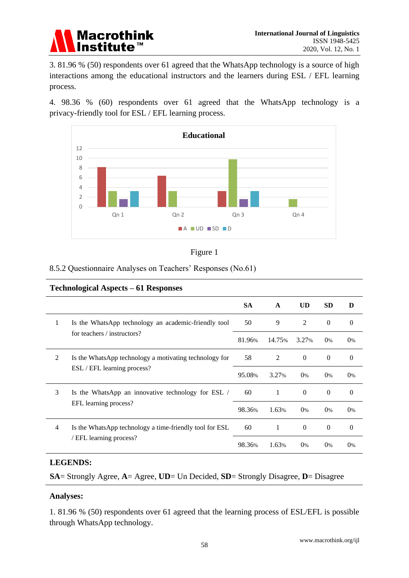

3. 81.96 % (50) respondents over 61 agreed that the WhatsApp technology is a source of high interactions among the educational instructors and the learners during ESL / EFL learning process.

4. 98.36 % (60) respondents over 61 agreed that the WhatsApp technology is a privacy-friendly tool for ESL / EFL learning process.



|--|--|

#### 8.5.2 Questionnaire Analyses on Teachers" Responses (No.61)

#### **Technological Aspects – 61 Responses**

|                                                             |                                                         | <b>SA</b> | A      | <b>UD</b>      | <b>SD</b>    | D        |
|-------------------------------------------------------------|---------------------------------------------------------|-----------|--------|----------------|--------------|----------|
| 1                                                           | Is the WhatsApp technology an academic-friendly tool    | 50        | 9      | 2              | $\theta$     | $\theta$ |
| for teachers / instructors?                                 |                                                         | 81.96%    | 14.75% | 3.27%          | 0%           | $0\%$    |
| 2<br>Is the WhatsApp technology a motivating technology for |                                                         | 58        | 2      | $\overline{0}$ | $\mathbf{0}$ | $\theta$ |
| ESL / EFL learning process?                                 |                                                         | 95.08%    | 3.27%  | $0\%$          | $0\%$        | $0\%$    |
| 3                                                           | Is the WhatsApp an innovative technology for ESL /      | 60        | 1      | $\theta$       | $\Omega$     | $\theta$ |
|                                                             | EFL learning process?                                   | 98.36%    | 1.63%  | 0%             | 0%           | $0\%$    |
| $\overline{4}$                                              | Is the WhatsApp technology a time-friendly tool for ESL | 60        | 1      | $\theta$       | $\theta$     | $\theta$ |
|                                                             | / EFL learning process?                                 | 98.36%    | 1.63%  | 0%             | $0\%$        | $0\%$    |

#### **LEGENDS:**

**SA**= Strongly Agree, **A**= Agree, **UD**= Un Decided, **SD**= Strongly Disagree, **D**= Disagree

#### **Analyses:**

1. 81.96 % (50) respondents over 61 agreed that the learning process of ESL/EFL is possible through WhatsApp technology.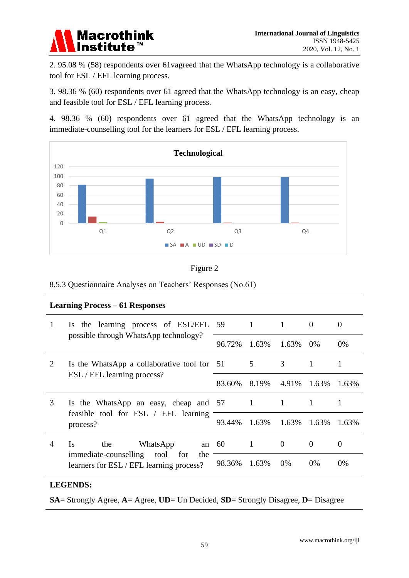

2. 95.08 % (58) respondents over 61vagreed that the WhatsApp technology is a collaborative tool for ESL / EFL learning process.

3. 98.36 % (60) respondents over 61 agreed that the WhatsApp technology is an easy, cheap and feasible tool for ESL / EFL learning process.

4. 98.36 % (60) respondents over 61 agreed that the WhatsApp technology is an immediate-counselling tool for the learners for ESL / EFL learning process.





8.5.3 Questionnaire Analyses on Teachers" Responses (No.61)

| <b>Learning Process – 61 Responses</b>                                          |                                                                                                                             |        |                |              |          |          |  |  |
|---------------------------------------------------------------------------------|-----------------------------------------------------------------------------------------------------------------------------|--------|----------------|--------------|----------|----------|--|--|
|                                                                                 | the learning process of ESL/EFL 59<br>$\mathbf{I}$ s<br>possible through WhatsApp technology?                               |        | $\mathbf{1}$   | 1            | $\Omega$ | $\Omega$ |  |  |
|                                                                                 |                                                                                                                             | 96.72% | 1.63%          | 1.63%        | $0\%$    | $0\%$    |  |  |
| 2<br>Is the WhatsApp a collaborative tool for 51<br>ESL / EFL learning process? |                                                                                                                             | 5      | 3              | 1            | 1        |          |  |  |
|                                                                                 |                                                                                                                             | 83.60% | 8.19%          | 4.91%        | 1.63%    | 1.63%    |  |  |
| 3                                                                               | Is the WhatsApp an easy, cheap and 57<br>feasible tool for ESL / EFL learning<br>process?                                   |        | $\overline{1}$ | $\mathbf{1}$ | -1       |          |  |  |
|                                                                                 |                                                                                                                             | 93.44% | 1.63%          | 1.63%        | 1.63%    | 1.63%    |  |  |
| 4                                                                               | Is<br>the<br>WhatsApp<br>an $60$<br>immediate-counselling<br>tool<br>for<br>the<br>learners for ESL / EFL learning process? |        | 1              | $\Omega$     | $\Omega$ | $\theta$ |  |  |
|                                                                                 |                                                                                                                             | 98.36% | 1.63%          | $0\%$        | $0\%$    | $0\%$    |  |  |

#### **LEGENDS:**

**SA**= Strongly Agree, **A**= Agree, **UD**= Un Decided, **SD**= Strongly Disagree, **D**= Disagree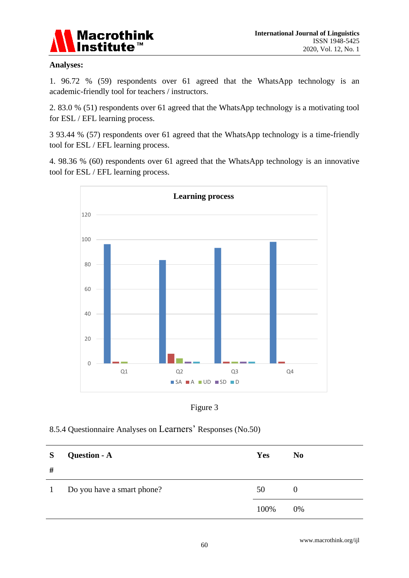

#### **Analyses:**

1. 96.72 % (59) respondents over 61 agreed that the WhatsApp technology is an academic-friendly tool for teachers / instructors.

2. 83.0 % (51) respondents over 61 agreed that the WhatsApp technology is a motivating tool for ESL / EFL learning process.

3 93.44 % (57) respondents over 61 agreed that the WhatsApp technology is a time-friendly tool for ESL / EFL learning process.

4. 98.36 % (60) respondents over 61 agreed that the WhatsApp technology is an innovative tool for ESL / EFL learning process.



Figure 3

#### 8.5.4 Questionnaire Analyses on Learners' Responses (No.50)

| S<br>#       | Question - A               | <b>Yes</b> | N <sub>0</sub> |
|--------------|----------------------------|------------|----------------|
| $\mathbf{1}$ | Do you have a smart phone? | 50         | O              |
|              |                            | 100%       | 0%             |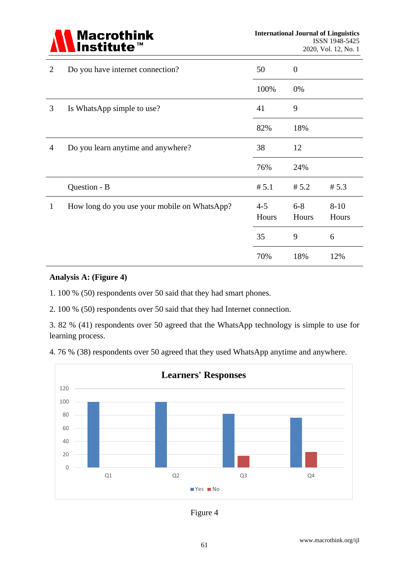

| 2 | Do you have internet connection?             | 50               | $\overline{0}$   |                   |
|---|----------------------------------------------|------------------|------------------|-------------------|
|   |                                              | 100%             | 0%               |                   |
| 3 | Is WhatsApp simple to use?                   | 41               | 9                |                   |
|   |                                              | 82%              | 18%              |                   |
| 4 | Do you learn anytime and anywhere?           | 38               | 12               |                   |
|   |                                              | 76%              | 24%              |                   |
|   | Question - B                                 | # 5.1            | # 5.2            | # 5.3             |
| 1 | How long do you use your mobile on WhatsApp? | $4 - 5$<br>Hours | $6 - 8$<br>Hours | $8 - 10$<br>Hours |
|   |                                              | 35               | 9                | 6                 |
|   |                                              | 70%              | 18%              | 12%               |

#### **Analysis A: (Figure 4)**

1. 100 % (50) respondents over 50 said that they had smart phones.

2. 100 % (50) respondents over 50 said that they had Internet connection.

3. 82 % (41) respondents over 50 agreed that the WhatsApp technology is simple to use for learning process.

4. 76 % (38) respondents over 50 agreed that they used WhatsApp anytime and anywhere.



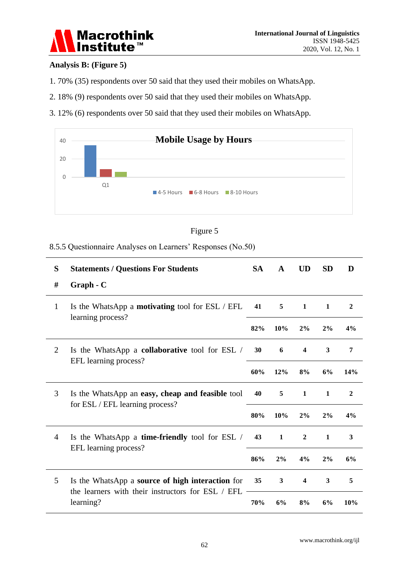

#### **Analysis B: (Figure 5)**

- 1. 70% (35) respondents over 50 said that they used their mobiles on WhatsApp.
- 2. 18% (9) respondents over 50 said that they used their mobiles on WhatsApp.
- 3. 12% (6) respondents over 50 said that they used their mobiles on WhatsApp.





8.5.5 Questionnaire Analyses on Learners" Responses (No.50)

| S                                                                                                                              | <b>Statements / Questions For Students</b>                                     | <b>SA</b> | $\mathbf A$  | <b>UD</b>               | <b>SD</b>        | D              |
|--------------------------------------------------------------------------------------------------------------------------------|--------------------------------------------------------------------------------|-----------|--------------|-------------------------|------------------|----------------|
| #                                                                                                                              | Graph - C                                                                      |           |              |                         |                  |                |
| $\mathbf{1}$<br>Is the WhatsApp a <b>motivating</b> tool for ESL / EFL<br>learning process?                                    |                                                                                | 41        | 5            | $\mathbf{1}$            | $\mathbf{1}$     | $\overline{2}$ |
|                                                                                                                                |                                                                                | 82%       | 10%          | 2%                      | 2%               | 4%             |
| $\overline{2}$                                                                                                                 | Is the WhatsApp a <b>collaborative</b> tool for ESL /<br>EFL learning process? | 30        | 6            | $\overline{\mathbf{4}}$ | $\mathbf{3}$     | 7              |
|                                                                                                                                |                                                                                |           | 12%          | 8%                      | 6%               | 14%            |
| 3<br>Is the WhatsApp an easy, cheap and feasible tool<br>for ESL / EFL learning process?                                       | 40                                                                             | 5         | 1            | $\mathbf{1}$            | $\boldsymbol{2}$ |                |
|                                                                                                                                |                                                                                | 80%       | 10%          | 2%                      | 2%               | 4%             |
| $\overline{4}$                                                                                                                 | Is the WhatsApp a <b>time-friendly</b> tool for ESL /<br>EFL learning process? | 43        | $\mathbf{1}$ | $\mathbf{2}$            | 1                | 3              |
|                                                                                                                                |                                                                                |           | 2%           | 4%                      | 2%               | 6%             |
| 5<br>Is the WhatsApp a <b>source of high interaction</b> for<br>the learners with their instructors for ESL / EFL<br>learning? |                                                                                | 35        | 3            | $\overline{\mathbf{4}}$ | $\mathbf{3}$     | 5              |
|                                                                                                                                | 70%                                                                            | 6%        | 8%           | 6%                      | 10%              |                |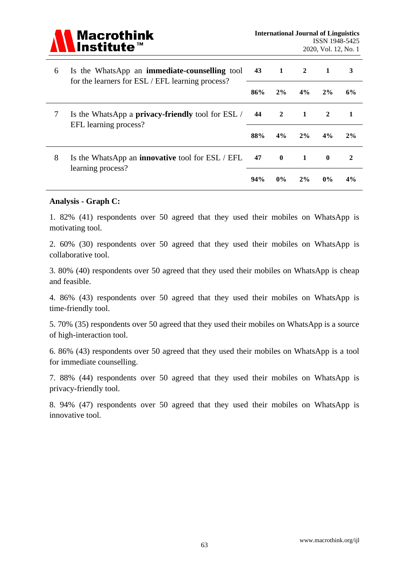

| 6                      | Is the WhatsApp an <b>immediate-counselling</b> tool<br>for the learners for ESL / EFL learning process? | 43  | 1              | $\overline{2}$ | 1            | 3  |
|------------------------|----------------------------------------------------------------------------------------------------------|-----|----------------|----------------|--------------|----|
|                        |                                                                                                          | 86% | 2%             | 4%             | 2%           | 6% |
| 7                      | Is the WhatsApp a <b>privacy-friendly</b> tool for ESL /<br>EFL learning process?                        | 44  | $\overline{2}$ | 1              | 2            |    |
|                        |                                                                                                          | 88% | 4%             | 2%             | 4%           | 2% |
| 8<br>learning process? | Is the WhatsApp an <b>innovative</b> tool for ESL / EFL                                                  | 47  | $\mathbf{0}$   | $\mathbf{1}$   | $\mathbf{0}$ | 2  |
|                        |                                                                                                          | 94% | $0\%$          | 2%             | $0\%$        | 4% |

#### **Analysis - Graph C:**

1. 82% (41) respondents over 50 agreed that they used their mobiles on WhatsApp is motivating tool.

2. 60% (30) respondents over 50 agreed that they used their mobiles on WhatsApp is collaborative tool.

3. 80% (40) respondents over 50 agreed that they used their mobiles on WhatsApp is cheap and feasible.

4. 86% (43) respondents over 50 agreed that they used their mobiles on WhatsApp is time-friendly tool.

5. 70% (35) respondents over 50 agreed that they used their mobiles on WhatsApp is a source of high-interaction tool.

6. 86% (43) respondents over 50 agreed that they used their mobiles on WhatsApp is a tool for immediate counselling.

7. 88% (44) respondents over 50 agreed that they used their mobiles on WhatsApp is privacy-friendly tool.

8. 94% (47) respondents over 50 agreed that they used their mobiles on WhatsApp is innovative tool.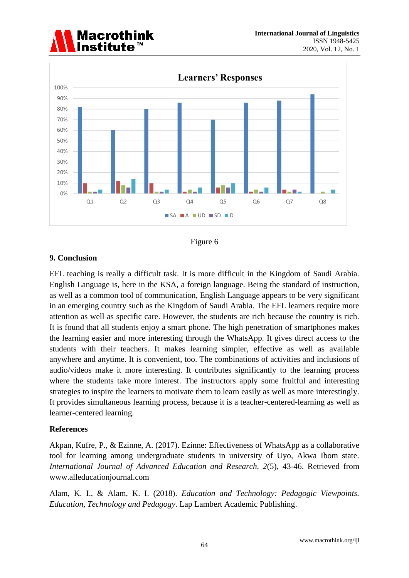





#### **9. Conclusion**

EFL teaching is really a difficult task. It is more difficult in the Kingdom of Saudi Arabia. English Language is, here in the KSA, a foreign language. Being the standard of instruction, as well as a common tool of communication, English Language appears to be very significant in an emerging country such as the Kingdom of Saudi Arabia. The EFL learners require more attention as well as specific care. However, the students are rich because the country is rich. It is found that all students enjoy a smart phone. The high penetration of smartphones makes the learning easier and more interesting through the WhatsApp. It gives direct access to the students with their teachers. It makes learning simpler, effective as well as available anywhere and anytime. It is convenient, too. The combinations of activities and inclusions of audio/videos make it more interesting. It contributes significantly to the learning process where the students take more interest. The instructors apply some fruitful and interesting strategies to inspire the learners to motivate them to learn easily as well as more interestingly. It provides simultaneous learning process, because it is a teacher-centered-learning as well as learner-centered learning.

#### **References**

Akpan, Kufre, P., & Ezinne, A. (2017). Ezinne: Effectiveness of WhatsApp as a collaborative tool for learning among undergraduate students in university of Uyo, Akwa Ibom state. *International Journal of Advanced Education and Research, 2*(5), 43-46. Retrieved from [www.alleducationjournal.com](http://www.alleducationjournal.com/)

Alam, K. I., & Alam, K. I. (2018). *Education and Technology: Pedagogic Viewpoints. Education, Technology and Pedagogy*. Lap Lambert Academic Publishing.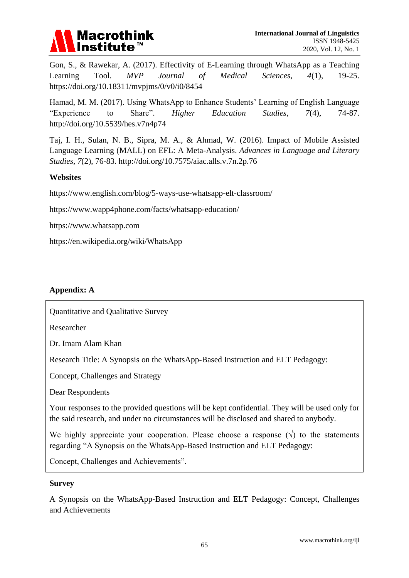

Gon, S., & Rawekar, A. (2017). Effectivity of E-Learning through WhatsApp as a Teaching Learning Tool. *MVP Journal of Medical Sciences, 4*(1), 19-25. https://doi.org/10.18311/mvpjms/0/v0/i0/8454

Hamad, M. M. (2017). Using WhatsApp to Enhance Students" Learning of English Language "Experience to Share". *Higher Education Studies, 7*(4), 74-87. <http://doi.org/10.5539/hes.v7n4p74>

Taj, I. H., Sulan, N. B., Sipra, M. A., & Ahmad, W. (2016). Impact of Mobile Assisted Language Learning (MALL) on EFL: A Meta-Analysis. *Advances in Language and Literary Studies, 7*(2), 76-83. [http://doi.org/10.7575/aiac.alls.v.7n.2p.76](http://dx.doi.org/10.7575/aiac.alls.v.7n.2p.76)

#### **Websites**

<https://www.english.com/blog/5-ways-use-whatsapp-elt-classroom/>

<https://www.wapp4phone.com/facts/whatsapp-education/>

[https://www.whatsapp.com](https://www.whatsapp.com/)

<https://en.wikipedia.org/wiki/WhatsApp>

#### **Appendix: A**

Quantitative and Qualitative Survey

Researcher

Dr. Imam Alam Khan

Research Title: A Synopsis on the WhatsApp-Based Instruction and ELT Pedagogy:

Concept, Challenges and Strategy

Dear Respondents

Your responses to the provided questions will be kept confidential. They will be used only for the said research, and under no circumstances will be disclosed and shared to anybody.

We highly appreciate your cooperation. Please choose a response  $(\sqrt{)}$  to the statements regarding "A Synopsis on the WhatsApp-Based Instruction and ELT Pedagogy:

Concept, Challenges and Achievements".

#### **Survey**

A Synopsis on the WhatsApp-Based Instruction and ELT Pedagogy: Concept, Challenges and Achievements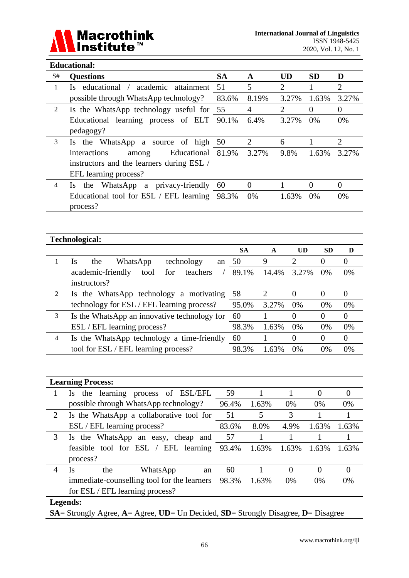

#### **Educational:**

| S#             | <b>Questions</b>                            | <b>SA</b> | A        | UD    | <b>SD</b> | D              |
|----------------|---------------------------------------------|-----------|----------|-------|-----------|----------------|
| 1              | educational / academic<br>attainment<br>Is. | 51        | 5        | 2     |           | $\overline{2}$ |
|                | possible through WhatsApp technology?       | 83.6%     | 8.19%    | 3.27% | 1.63%     | 3.27%          |
| 2              | Is the WhatsApp technology useful for 55    |           | 4        | 2     | $\Omega$  | 0              |
|                | Educational learning process of ELT 90.1%   |           | 6.4%     | 3.27% | 0%        | 0%             |
|                | pedagogy?                                   |           |          |       |           |                |
| 3              | the WhatsApp a source of high 50<br>Is.     |           | 2        | 6     |           | 2              |
|                | interactions<br>Educational<br>among        | 81.9%     | 3.27%    | 9.8%  | 1.63%     | 3.27%          |
|                | instructors and the learners during ESL /   |           |          |       |           |                |
|                | EFL learning process?                       |           |          |       |           |                |
| $\overline{4}$ | WhatsApp a privacy-friendly<br>the<br>Is.   | 60        | $\Omega$ |       | $\Omega$  | $\Omega$       |
|                | Educational tool for ESL / EFL learning     | 98.3%     | 0%       | 1.63% | $0\%$     | 0%             |
|                | process?                                    |           |          |       |           |                |

#### **Technological:**

|   |                                              | <b>SA</b> | A     | UD    | <b>SD</b> | D        |
|---|----------------------------------------------|-----------|-------|-------|-----------|----------|
|   | technology<br>WhatsApp<br>the<br>1s<br>an    | - 50      | 9     | 2     |           | $\Omega$ |
|   | for teachers<br>academic-friendly<br>tool    | 89.1%     | 14.4% | 3.27% | $0\%$     | 0%       |
|   | instructors?                                 |           |       |       |           |          |
| 2 | Is the WhatsApp technology a motivating      | 58        |       |       | $\cup$    | $\theta$ |
|   | technology for ESL / EFL learning process?   | 95.0%     | 3.27% | 0%    | 0%        | 0%       |
| 3 | Is the WhatsApp an innovative technology for | - 60      |       | 0     |           | $\Omega$ |
|   | ESL / EFL learning process?                  | 98.3%     | 1.63% | $0\%$ | $0\%$     | 0%       |
| 4 | Is the WhatsApp technology a time-friendly   | 60        |       | 0     | $\theta$  | $\theta$ |
|   | tool for ESL / EFL learning process?         | 98.3%     | 1.63% | $0\%$ | 0%        | 0%       |

|   | <b>Learning Process:</b>                     |       |       |          |                |          |  |  |  |
|---|----------------------------------------------|-------|-------|----------|----------------|----------|--|--|--|
| 1 | the learning process of ESL/EFL<br><b>Is</b> | 59    |       |          | $\overline{0}$ | 0        |  |  |  |
|   | possible through WhatsApp technology?        | 96.4% | 1.63% | 0%       | 0%             | $0\%$    |  |  |  |
| 2 | Is the WhatsApp a collaborative tool for     | 51    | 5     | 3        |                |          |  |  |  |
|   | ESL / EFL learning process?                  | 83.6% | 8.0%  | 4.9%     | 1.63%          | 1.63%    |  |  |  |
| 3 | the WhatsApp an easy, cheap and<br>Is.       | 57    |       |          |                |          |  |  |  |
|   | feasible tool for ESL / EFL learning         | 93.4% | 1.63% | 1.63%    | 1.63%          | 1.63%    |  |  |  |
|   | process?                                     |       |       |          |                |          |  |  |  |
| 4 | the<br>WhatsApp<br>Is<br>an                  | 60    |       | $\Omega$ | $\Omega$       | $\Omega$ |  |  |  |
|   | immediate-counselling tool for the learners  | 98.3% | 1.63% | 0%       | 0%             | 0%       |  |  |  |
|   | for ESL / EFL learning process?              |       |       |          |                |          |  |  |  |
|   | Legends:                                     |       |       |          |                |          |  |  |  |

**SA**= Strongly Agree, **A**= Agree, **UD**= Un Decided, **SD**= Strongly Disagree, **D**= Disagree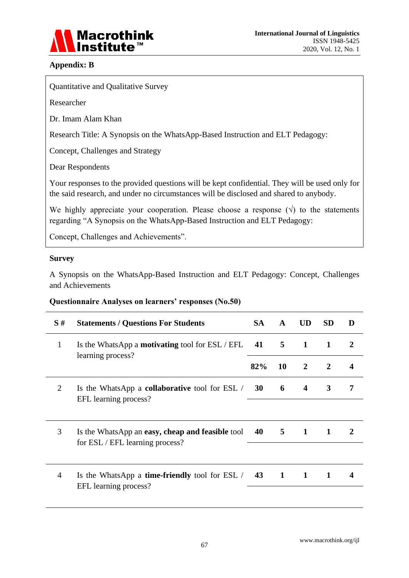

#### **Appendix: B**

Quantitative and Qualitative Survey

Researcher

Dr. Imam Alam Khan

Research Title: A Synopsis on the WhatsApp-Based Instruction and ELT Pedagogy:

Concept, Challenges and Strategy

Dear Respondents

Your responses to the provided questions will be kept confidential. They will be used only for the said research, and under no circumstances will be disclosed and shared to anybody.

We highly appreciate your cooperation. Please choose a response  $(\sqrt{)}$  to the statements regarding "A Synopsis on the WhatsApp-Based Instruction and ELT Pedagogy:

Concept, Challenges and Achievements".

#### **Survey**

A Synopsis on the WhatsApp-Based Instruction and ELT Pedagogy: Concept, Challenges and Achievements

#### **Questionnaire Analyses on learners' responses (No.50)**

| S#           | <b>Statements / Questions For Students</b>                                                | <b>SA</b>    | $\mathbf{A}$ | <b>UD</b>               | <b>SD</b>    | D                |
|--------------|-------------------------------------------------------------------------------------------|--------------|--------------|-------------------------|--------------|------------------|
| $\mathbf{1}$ | Is the WhatsApp a <b>motivating</b> tool for $\text{ESL}/\text{EFL}$<br>learning process? | 41           | $5^{\circ}$  | $\mathbf{1}$            | 1            | $\mathbf{2}$     |
|              |                                                                                           | 82%          | <b>10</b>    | $\overline{2}$          | 2            | $\boldsymbol{4}$ |
| 2            | Is the WhatsApp a <b>collaborative</b> tool for ESL /<br>EFL learning process?            | 30           | 6            | $\overline{\mathbf{4}}$ | 3            | 7                |
|              |                                                                                           |              |              |                         |              |                  |
| 3            | Is the WhatsApp an easy, cheap and feasible tool<br>for ESL / EFL learning process?       | $40\qquad 5$ |              | $\mathbf 1$             | $\mathbf{1}$ | $\mathbf{2}$     |
|              |                                                                                           |              |              |                         |              |                  |
| 4            | Is the WhatsApp a <b>time-friendly</b> tool for ESL /<br>EFL learning process?            | 43           | 1            | 1                       | 1            | 4                |
|              |                                                                                           |              |              |                         |              |                  |